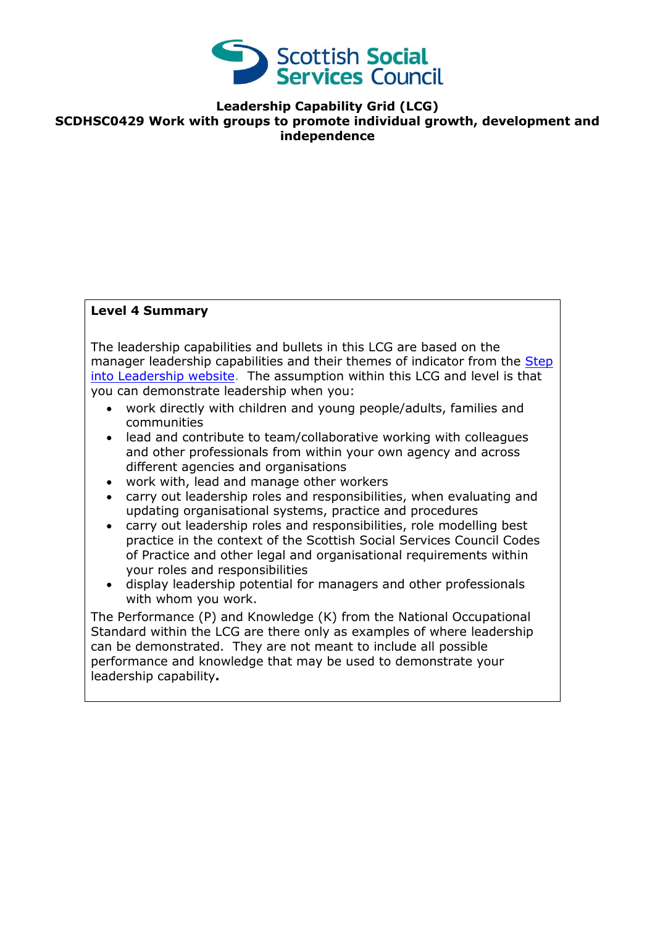

**Leadership Capability Grid (LCG) SCDHSC0429 Work with groups to promote individual growth, development and independence**

## **Level 4 Summary**

The leadership capabilities and bullets in this LCG are based on the manager leadership capabilities and their themes of indicator from the [Step](http://www.stepintoleadership.info/index.html)  [into Leadership website.](http://www.stepintoleadership.info/index.html) The assumption within this LCG and level is that you can demonstrate leadership when you:

- work directly with children and young people/adults, families and communities
- lead and contribute to team/collaborative working with colleagues and other professionals from within your own agency and across different agencies and organisations
- work with, lead and manage other workers
- carry out leadership roles and responsibilities, when evaluating and updating organisational systems, practice and procedures
- carry out leadership roles and responsibilities, role modelling best practice in the context of the Scottish Social Services Council Codes of Practice and other legal and organisational requirements within your roles and responsibilities
- display leadership potential for managers and other professionals with whom you work.

The Performance (P) and Knowledge (K) from the National Occupational Standard within the LCG are there only as examples of where leadership can be demonstrated. They are not meant to include all possible performance and knowledge that may be used to demonstrate your leadership capability**.**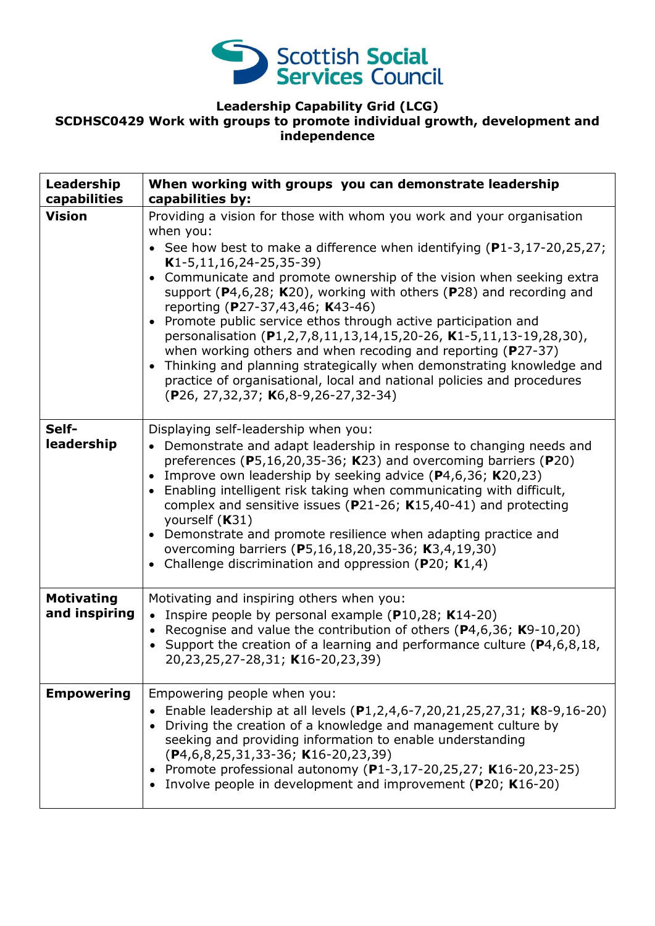

## **Leadership Capability Grid (LCG) SCDHSC0429 Work with groups to promote individual growth, development and independence**

| Leadership<br>capabilities         | When working with groups you can demonstrate leadership<br>capabilities by:                                                                                                                                                                                                                                                                                                                                                                                                                                                                                                                                                                                                                                                                                                                                                  |
|------------------------------------|------------------------------------------------------------------------------------------------------------------------------------------------------------------------------------------------------------------------------------------------------------------------------------------------------------------------------------------------------------------------------------------------------------------------------------------------------------------------------------------------------------------------------------------------------------------------------------------------------------------------------------------------------------------------------------------------------------------------------------------------------------------------------------------------------------------------------|
| <b>Vision</b>                      | Providing a vision for those with whom you work and your organisation<br>when you:<br>• See how best to make a difference when identifying $(P1-3, 17-20, 25, 27)$ ;<br>$K1-5, 11, 16, 24-25, 35-39)$<br>Communicate and promote ownership of the vision when seeking extra<br>$\bullet$<br>support ( $P4,6,28$ ; K20), working with others ( $P28$ ) and recording and<br>reporting (P27-37,43,46; K43-46)<br>Promote public service ethos through active participation and<br>personalisation (P1,2,7,8,11,13,14,15,20-26, K1-5,11,13-19,28,30),<br>when working others and when recoding and reporting ( $P27-37$ )<br>Thinking and planning strategically when demonstrating knowledge and<br>$\bullet$<br>practice of organisational, local and national policies and procedures<br>(P26, 27,32,37; K6,8-9,26-27,32-34) |
| Self-<br>leadership                | Displaying self-leadership when you:<br>• Demonstrate and adapt leadership in response to changing needs and<br>preferences ( $P5,16,20,35-36$ ; K23) and overcoming barriers ( $P20$ )<br>Improve own leadership by seeking advice (P4,6,36; K20,23)<br>$\bullet$<br>Enabling intelligent risk taking when communicating with difficult,<br>$\bullet$<br>complex and sensitive issues ( $P$ 21-26; K15,40-41) and protecting<br>yourself (K31)<br>Demonstrate and promote resilience when adapting practice and<br>$\bullet$<br>overcoming barriers (P5,16,18,20,35-36; K3,4,19,30)<br>Challenge discrimination and oppression ( $P20$ ; K1,4)                                                                                                                                                                              |
| <b>Motivating</b><br>and inspiring | Motivating and inspiring others when you:<br>• Inspire people by personal example (P10,28; K14-20)<br>• Recognise and value the contribution of others ( $P$ 4,6,36; K9-10,20)<br>• Support the creation of a learning and performance culture ( $P4, 6, 8, 18$ ,<br>20,23,25,27-28,31; K16-20,23,39)                                                                                                                                                                                                                                                                                                                                                                                                                                                                                                                        |
| <b>Empowering</b>                  | Empowering people when you:<br>Enable leadership at all levels (P1,2,4,6-7,20,21,25,27,31; K8-9,16-20)<br>Driving the creation of a knowledge and management culture by<br>seeking and providing information to enable understanding<br>$(P4, 6, 8, 25, 31, 33 - 36; K16 - 20, 23, 39)$<br>Promote professional autonomy (P1-3,17-20,25,27; K16-20,23-25)<br>Involve people in development and improvement (P20; K16-20)                                                                                                                                                                                                                                                                                                                                                                                                     |